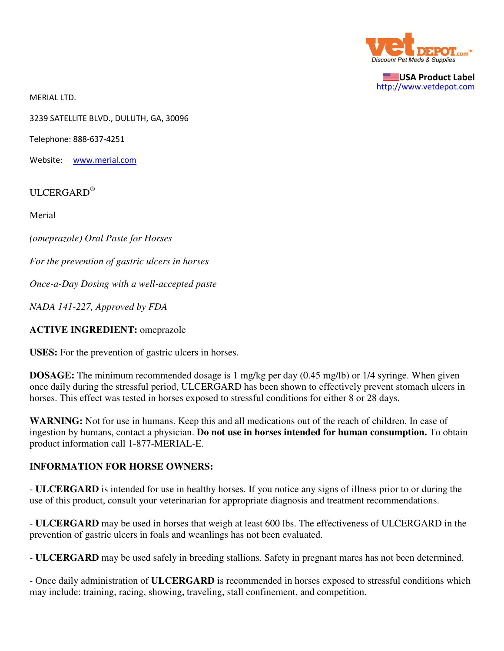

USA Product Label http://www.vetdepot.com

MERIAL LTD.

3239 SATELLITE BLVD., DULUTH, GA, 30096

Telephone: 888-637-4251

Website: www.merial.com

ULCERGARD<sup>®</sup>

Merial

*(omeprazole) Oral Paste for Horses*

*For the prevention of gastric ulcers in horses*

*Once-a-Day Dosing with a well-accepted paste*

*NADA 141-227, Approved by FDA*

#### **ACTIVE INGREDIENT:** omeprazole

**USES:** For the prevention of gastric ulcers in horses.

**DOSAGE:** The minimum recommended dosage is 1 mg/kg per day (0.45 mg/lb) or 1/4 syringe. When given once daily during the stressful period, ULCERGARD has been shown to effectively prevent stomach ulcers in horses. This effect was tested in horses exposed to stressful conditions for either 8 or 28 days.

WARNING: Not for use in humans. Keep this and all medications out of the reach of children. In case of ingestion by humans, contact a physician. **Do not use in horses intended for human consumption.** To obtain product information call 1-877-MERIAL-E.

#### **INFORMATION FOR HORSE OWNERS:**

- **ULCERGARD** is intended for use in healthy horses. If you notice any signs of illness prior to or during the use of this product, consult your veterinarian for appropriate diagnosis and treatment recommendations.

- **ULCERGARD** may be used in horses that weigh at least 600 lbs. The effectiveness of ULCERGARD in the prevention of gastric ulcers in foals and weanlings has not been evaluated.

- **ULCERGARD** may be used safely in breeding stallions. Safety in pregnant mares has not been determined.

- Once daily administration of **ULCERGARD** is recommended in horses exposed to stressful conditions which may include: training, racing, showing, traveling, stall confinement, and competition.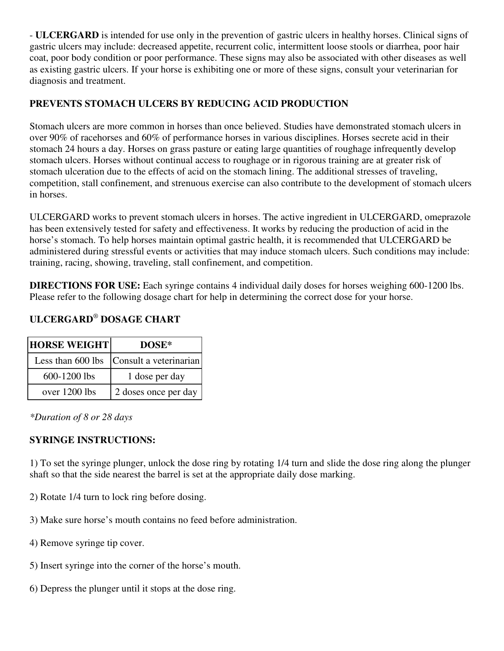- **ULCERGARD** is intended for use only in the prevention of gastric ulcers in healthy horses. Clinical signs of gastric ulcers may include: decreased appetite, recurrent colic, intermittent loose stools or diarrhea, poor hair coat, poor body condition or poor performance. These signs may also be associated with other diseases as well as existing gastric ulcers. If your horse is exhibiting one or more of these signs, consult your veterinarian for diagnosis and treatment.

## **PREVENTS STOMACH ULCERS BY REDUCING ACID PRODUCTION**

Stomach ulcers are more common in horses than once believed. Studies have demonstrated stomach ulcers in over 90% of racehorses and 60% of performance horses in various disciplines. Horses secrete acid in their stomach 24 hours a day. Horses on grass pasture or eating large quantities of roughage infrequently develop stomach ulcers. Horses without continual access to roughage or in rigorous training are at greater risk of stomach ulceration due to the effects of acid on the stomach lining. The additional stresses of traveling, competition, stall confinement, and strenuous exercise can also contribute to the development of stomach ulcers in horses.

ULCERGARD works to prevent stomach ulcers in horses. The active ingredient in ULCERGARD, omeprazole has been extensively tested for safety and effectiveness. It works by reducing the production of acid in the horse's stomach. To help horses maintain optimal gastric health, it is recommended that ULCERGARD be administered during stressful events or activities that may induce stomach ulcers. Such conditions may include: training, racing, showing, traveling, stall confinement, and competition.

**DIRECTIONS FOR USE:** Each syringe contains 4 individual daily doses for horses weighing 600-1200 lbs. Please refer to the following dosage chart for help in determining the correct dose for your horse.

# **ULCERGARD**®  **DOSAGE CHART**

| <b>HORSE WEIGHT</b> | DOSE*                  |  |
|---------------------|------------------------|--|
| Less than 600 lbs   | Consult a veterinarian |  |
| 600-1200 lbs        | 1 dose per day         |  |
| over 1200 lbs       | 2 doses once per day   |  |

*\*Duration of 8 or 28 days*

### **SYRINGE INSTRUCTIONS:**

1) To set the syringe plunger, unlock the dose ring by rotating 1/4 turn and slide the dose ring along the plunger shaft so that the side nearest the barrel is set at the appropriate daily dose marking.

- 2) Rotate 1/4 turn to lock ring before dosing.
- 3) Make sure horse's mouth contains no feed before administration.
- 4) Remove syringe tip cover.
- 5) Insert syringe into the corner of the horse's mouth.
- 6) Depress the plunger until it stops at the dose ring.